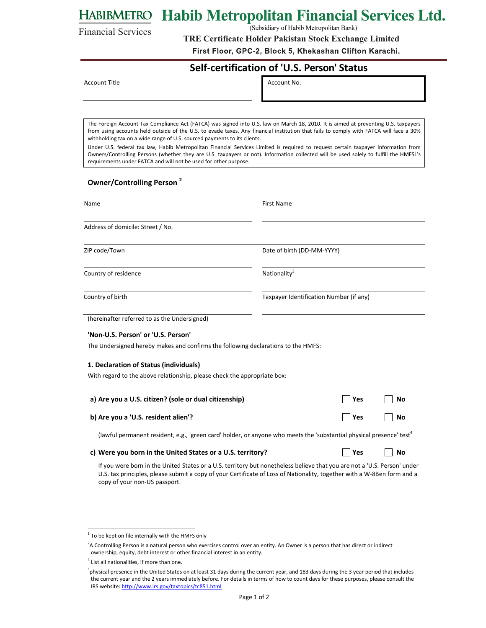# HABIBMETRO Habib Metropolitan Financial Services Ltd.

(Subsidiary of Habib Metropolitan Bank)

**TRE Certificate Holder Pakistan Stock Exchange Limited**

First Floor, GPC-2, Block 5, Khekashan Clifton Karachi.

### **Self‐certification of 'U.S. Person' Status**

Account Title **Account No.** Account No.

Financial Services

The Foreign Account Tax Compliance Act (FATCA) was signed into U.S. law on March 18, 2010. It is aimed at preventing U.S. taxpayers from using accounts held outside of the U.S. to evade taxes. Any financial institution that fails to comply with FATCA will face a 30% withholding tax on a wide range of U.S. sourced payments to its clients.

Under U.S. federal tax law, Habib Metropolitan Financial Services Limited is required to request certain taxpayer information from Owners/Controlling Persons (whether they are U.S. taxpayers or not). Information collected will be used solely to fulfill the HMFSL's requirements under FATCA and will not be used for other purpose.

### **Owner/Controlling Person <sup>2</sup>**

| Name                                                                                                                             | <b>First Name</b>                       |     |           |
|----------------------------------------------------------------------------------------------------------------------------------|-----------------------------------------|-----|-----------|
| Address of domicile: Street / No.                                                                                                |                                         |     |           |
| ZIP code/Town                                                                                                                    | Date of birth (DD-MM-YYYY)              |     |           |
| Country of residence                                                                                                             | Nationality <sup>3</sup>                |     |           |
| Country of birth                                                                                                                 | Taxpayer Identification Number (if any) |     |           |
| (hereinafter referred to as the Undersigned)                                                                                     |                                         |     |           |
| 'Non-U.S. Person' or 'U.S. Person'                                                                                               |                                         |     |           |
| The Undersigned hereby makes and confirms the following declarations to the HMFS:                                                |                                         |     |           |
| 1. Declaration of Status (individuals)                                                                                           |                                         |     |           |
| With regard to the above relationship, please check the appropriate box:                                                         |                                         |     |           |
| a) Are you a U.S. citizen? (sole or dual citizenship)                                                                            |                                         | Yes | No        |
| b) Are you a 'U.S. resident alien'?                                                                                              |                                         | Yes | <b>No</b> |
| (lawful permanent resident, e.g., 'green card' holder, or anyone who meets the 'substantial physical presence' test <sup>4</sup> |                                         |     |           |
| c) Were you born in the United States or a U.S. territory?                                                                       |                                         | Yes | No        |

If you were born in the United States or a U.S. territory but nonetheless believe that you are not a 'U.S. Person' under U.S. tax principles, please submit a copy of your Certificate of Loss of Nationality, together with a W‐8Ben form and a copy of your non‐US passport.

 $1$  To be kept on file internally with the HMFS only

<sup>&</sup>lt;sup>2</sup>A Controlling Person is a natural person who exercises control over an entity. An Owner is a person that has direct or indirect ownership, equity, debt interest or other financial interest in an entity.

 $3$  List all nationalities, if more than one.

<sup>&</sup>lt;sup>4</sup>physical presence in the United States on at least 31 days during the current year, and 183 days during the 3 year period that includes the current year and the 2 years immediately before. For details in terms of how to count days for these purposes, please consult the IRS website: http://www.irs.gov/taxtopics/tc851.html